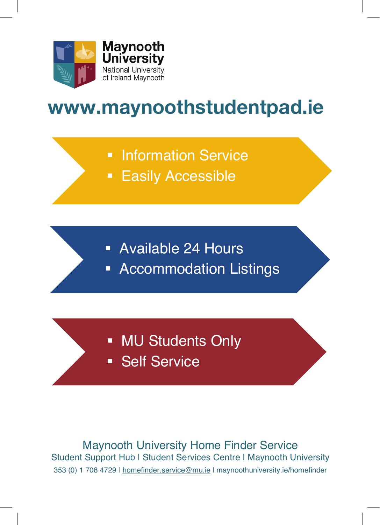

## **www.maynoothstudentpad.ie**

- Information Service
- **Easily Accessible**

- § Available 24 Hours
- **EXECOMMODATION Listings**

- MU Students Only
- § Self Service

Maynooth University Home Finder Service Student Support Hub | Student Services Centre | Maynooth University 353 (0) 1 708 4729 | homefinder.service@mu.ie | maynoothuniversity.ie/homefinder